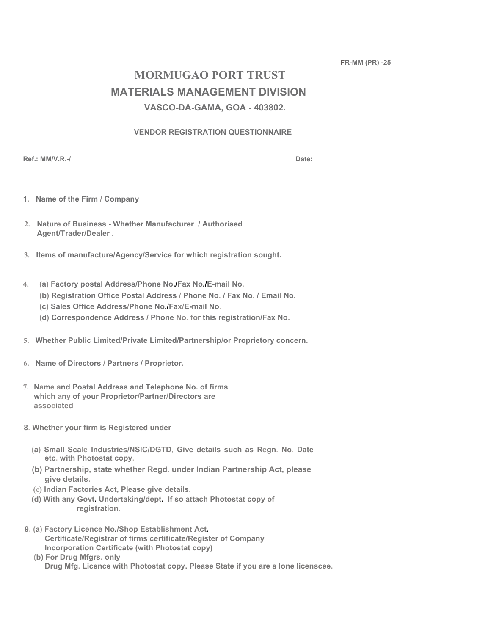**FR-MM (PR) -25** 

# **MORMUGAO PORT TRUST MATERIALS MANAGEMENT DIVISION VASCO-DA-GAMA, GOA - 403802.**

## **VENDOR REGISTRATION QUESTIONNAIRE**

**Ref.: MM/V.R.-/ Date:**

- **1. Name of the Firm / Company**
- **2. Nature of Business Whether Manufacturer / Authorised Agent/Trader/Dealer .**
- **3. Items of manufacture/Agency/Service for which registration sought.**
- **4. (a) Factory postal Address/Phone No./Fax No./E-mail No.** 
	- **(b) Registration Office Postal Address / Phone No. / Fax No. / Email No.**
	- **(c) Sales Office Address/Phone No./Fax/E-mail No.**
	- **(d) Correspondence Address / Phone No. for this registration/Fax No.**
- **5. Whether Public Limited/Private Limited/Partnership/or Proprietory concern.**
- **6. Name of Directors / Partners / Proprietor.**
- **7. Name and Postal Address and Telephone No. of firms which any of your Proprietor/Partner/Directors are associated**
- **8. Whether your firm is Registered under** 
	- **(a) Small Scale Industries/NSIC/DGTD, Give details such as Regn. No. Date etc. with Photostat copy.**
	- **(b) Partnership, state whether Regd. under Indian Partnership Act, please give details.**
	- **(c) Indian Factories Act, Please give details.**
	- **(d) With any Govt. Undertaking/dept. If so attach Photostat copy of registration.**
- **9. (a) Factory Licence No./Shop Establishment Act. Certificate/Registrar of firms certificate/Register of Company Incorporation Certificate (with Photostat copy)** 
	- **(b) For Drug Mfgrs. only Drug Mfg. Licence with Photostat copy. Please State if you are a lone licenscee.**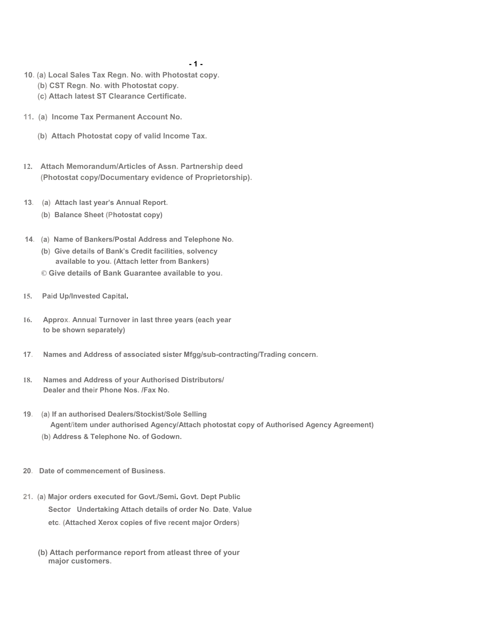#### **- 1 -**

- **10. (a) Local Sales Tax Regn. No. with Photostat copy.** 
	- **(b) CST Regn. No. with Photostat copy.**
	- **(c) Attach latest ST Clearance Certificate.**
- **11. (a) Income Tax Permanent Account No.** 
	- **(b) Attach Photostat copy of valid Income Tax.**
- **12. Attach Memorandum/Articles of Assn. Partnership deed (Photostat copy/Documentary evidence of Proprietorship).**
- **13. (a) Attach last year's Annual Report.** 
	- **(b) Balance Sheet (Photostat copy)**
- **14. (a) Name of Bankers/Postal Address and Telephone No.** 
	- **(b) Give details of Bank's Credit facilities, solvency available to you. (Attach letter from Bankers) © Give details of Bank Guarantee available to you.**
- **15. Paid Up/Invested Capital.**
- **16. Approx. Annual Turnover in last three years (each year to be shown separately)**
- **17. Names and Address of associated sister Mfgg/sub-contracting/Trading concern.**
- **18. Names and Address of your Authorised Distributors/ Dealer and their Phone Nos. /Fax No.**
- **19. (a) If an authorised Dealers/Stockist/Sole Selling Agent/item under authorised Agency/Attach photostat copy of Authorised Agency Agreement) (b) Address & Telephone No. of Godown.**
- **20. Date of commencement of Business.**
- **21. (a) Major orders executed for Govt./Semi. Govt. Dept Public Sector Undertaking Attach details of order No. Date, Value etc. (Attached Xerox copies of five recent major Orders)** 
	- **(b) Attach performance report from atleast three of your major customers.**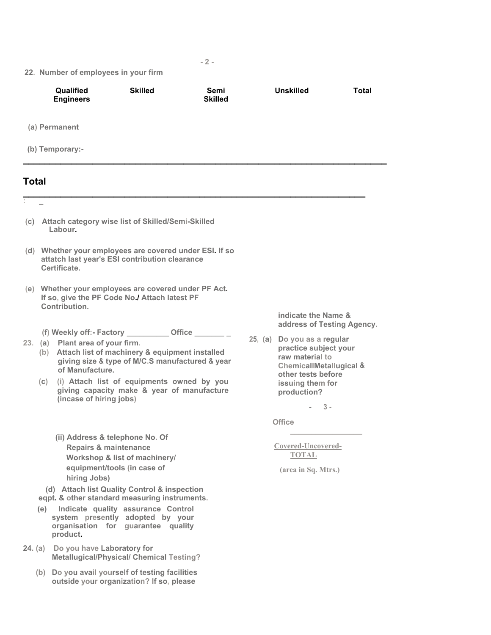#### **22. Number of employees in your firm**

 **(d) Attach list Quality Control & inspection eqpt. & other standard measuring instruments. (e) Indicate quality assurance Control system presently adopted by your organisation for guarantee quality** 

**Metallugical/Physical/ Chemical Testing?** 

 **(b) Do you avail yourself of testing facilities outside your organization? If so, please** 

**product.** 

**24. (a) Do you have Laboratory for** 

|       | 22. Number of employees in your firm                                                                                                          |                                                                                                                    |                                                                                                                                                                 |                        |               |                                                                                                                                                                                                    |              |
|-------|-----------------------------------------------------------------------------------------------------------------------------------------------|--------------------------------------------------------------------------------------------------------------------|-----------------------------------------------------------------------------------------------------------------------------------------------------------------|------------------------|---------------|----------------------------------------------------------------------------------------------------------------------------------------------------------------------------------------------------|--------------|
|       |                                                                                                                                               | Qualified<br><b>Engineers</b>                                                                                      | <b>Skilled</b>                                                                                                                                                  | Semi<br><b>Skilled</b> |               | <b>Unskilled</b>                                                                                                                                                                                   | <b>Total</b> |
|       |                                                                                                                                               | (a) Permanent                                                                                                      |                                                                                                                                                                 |                        |               |                                                                                                                                                                                                    |              |
|       |                                                                                                                                               | (b) Temporary:-                                                                                                    |                                                                                                                                                                 |                        |               |                                                                                                                                                                                                    |              |
| Total |                                                                                                                                               |                                                                                                                    |                                                                                                                                                                 |                        |               |                                                                                                                                                                                                    |              |
| t,    | L.<br>(c) Attach category wise list of Skilled/Semi-Skilled<br>Labour.                                                                        |                                                                                                                    |                                                                                                                                                                 |                        |               |                                                                                                                                                                                                    |              |
|       | (d) Whether your employees are covered under ESI. If so<br>attatch last year's ESI contribution clearance<br>Certificate.                     |                                                                                                                    |                                                                                                                                                                 |                        |               |                                                                                                                                                                                                    |              |
|       | (e) Whether your employees are covered under PF Act.<br>If so, give the PF Code No./ Attach latest PF<br>Contribution.<br>indicate the Name & |                                                                                                                    |                                                                                                                                                                 |                        |               |                                                                                                                                                                                                    |              |
|       |                                                                                                                                               | 23. (a) Plant area of your firm.<br>of Manufacture.                                                                | (f) Weekly off:- Factory ____________ Office _________<br>(b) Attach list of machinery & equipment installed<br>giving size & type of M/C.S manufactured & year |                        |               | address of Testing Agency.<br>25, (a) Do you as a regular<br>practice subject your<br>raw material to<br>ChemicallMetallugical &<br>other tests before<br>issuing them for<br>production?<br>$3 -$ |              |
|       | (C)                                                                                                                                           | (incase of hiring jobs)                                                                                            | (i) Attach list of equipments owned by you<br>giving capacity make & year of manufacture                                                                        |                        |               |                                                                                                                                                                                                    |              |
|       |                                                                                                                                               |                                                                                                                    |                                                                                                                                                                 |                        | <b>Office</b> |                                                                                                                                                                                                    |              |
|       |                                                                                                                                               | (ii) Address & telephone No. Of<br><b>Repairs &amp; maintenance</b><br>equipment/tools (in case of<br>hiring Jobs) | Workshop & list of machinery/                                                                                                                                   |                        |               | Covered-Uncovered-<br><b>TOTAL</b><br>(area in Sq. Mtrs.)                                                                                                                                          |              |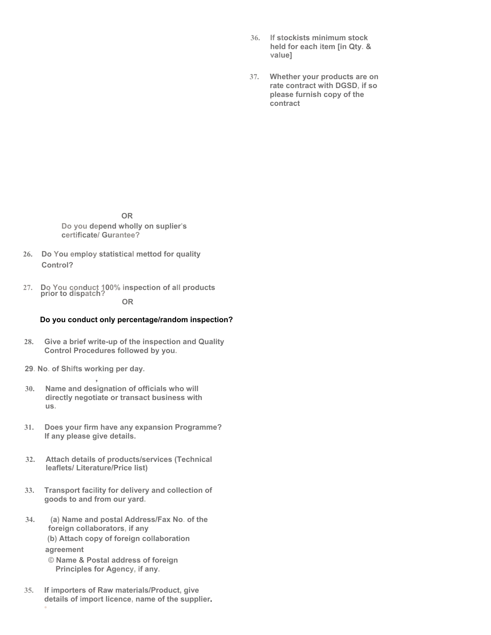- **36. If stockists minimum stock held for each item [in Qty. & value]**
- **37. Whether your products are on rate contract with DGSD, if so please furnish copy of the contract**

**OR Do you depend wholly on suplier's certificate/ Gurantee?** 

- **26. Do You employ statistical mettod for quality Control?**
- **27. Do You conduct 100% inspection of all products prior to dispatch? OR**

### **Do you conduct only percentage/random inspection?**

- **28. Give a brief write-up of the inspection and Quality Control Procedures followed by you.**
- **29. No. of Shifts working per day.**

**,** 

- **30. Name and designation of officials who will directly negotiate or transact business with us.**
- **31. Does your firm have any expansion Programme? If any please give details.**
- **32. Attach details of products/services (Technical leaflets/ Literature/Price list)**
- **33. Transport facility for delivery and collection of goods to and from our yard.**
- **34. (a) Name and postal Address/Fax No. of the foreign collaborators, if any (b) Attach copy of foreign collaboration agreement** 
	- **© Name & Postal address of foreign Principles for Agency, if any.**

**•** 

**35. If importers of Raw materials/Product, give details of import licence, name of the supplier.**